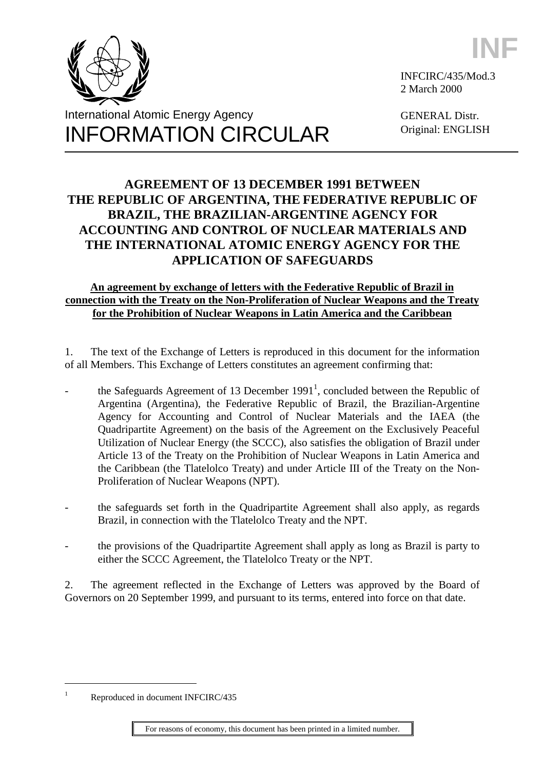





INFCIRC/435/Mod.3 2 March 2000

GENERAL Distr. Original: ENGLISH

# **AGREEMENT OF 13 DECEMBER 1991 BETWEEN THE REPUBLIC OF ARGENTINA, THE FEDERATIVE REPUBLIC OF BRAZIL, THE BRAZILIAN-ARGENTINE AGENCY FOR ACCOUNTING AND CONTROL OF NUCLEAR MATERIALS AND THE INTERNATIONAL ATOMIC ENERGY AGENCY FOR THE APPLICATION OF SAFEGUARDS**

## **An agreement by exchange of letters with the Federative Republic of Brazil in connection with the Treaty on the Non-Proliferation of Nuclear Weapons and the Treaty for the Prohibition of Nuclear Weapons in Latin America and the Caribbean**

1. The text of the Exchange of Letters is reproduced in this document for the information of all Members. This Exchange of Letters constitutes an agreement confirming that:

- the Safeguards Agreement of 13 December  $1991<sup>1</sup>$ , concluded between the Republic of Argentina (Argentina), the Federative Republic of Brazil, the Brazilian-Argentine Agency for Accounting and Control of Nuclear Materials and the IAEA (the Quadripartite Agreement) on the basis of the Agreement on the Exclusively Peaceful Utilization of Nuclear Energy (the SCCC), also satisfies the obligation of Brazil under Article 13 of the Treaty on the Prohibition of Nuclear Weapons in Latin America and the Caribbean (the Tlatelolco Treaty) and under Article III of the Treaty on the Non-Proliferation of Nuclear Weapons (NPT).
- the safeguards set forth in the Quadripartite Agreement shall also apply, as regards Brazil, in connection with the Tlatelolco Treaty and the NPT.
- the provisions of the Quadripartite Agreement shall apply as long as Brazil is party to either the SCCC Agreement, the Tlatelolco Treaty or the NPT.

2. The agreement reflected in the Exchange of Letters was approved by the Board of Governors on 20 September 1999, and pursuant to its terms, entered into force on that date.

 $\overline{a}$ 

<sup>1</sup> Reproduced in document INFCIRC/435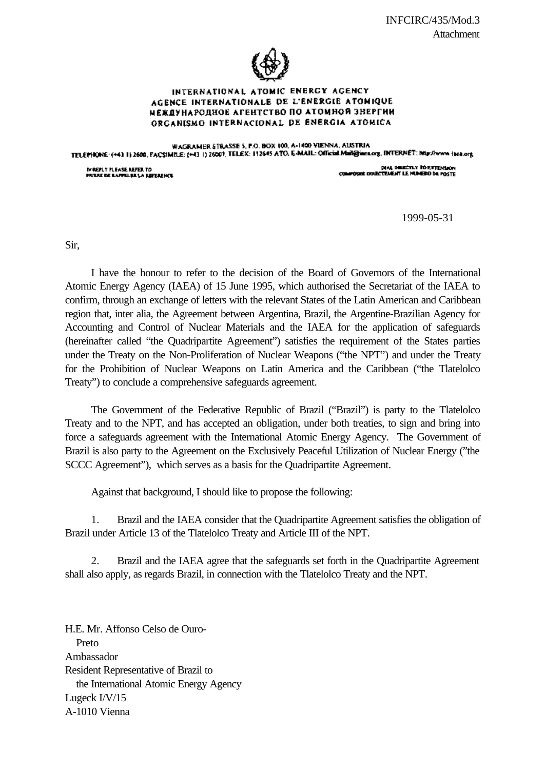

#### INTERNATIONAL ATOMIC ENERGY AGENCY AGENCE INTERNATIONALE DE L'ENERGIE ATOMIQUE МЕЖДУНАРОДНОЕ АГЕНТСТВО ПО АТОМНОЙ ЗВЕРГИИ ORGANISMO INTERNACIONAL DE ENERGIA ATÓMICA

WAGRAMER STRASSE 5, P.O. BOX 100, A-1400 VIENNA, AUSTRIA TELEPHONE (+41 I) 2600, FACSIMILE: (+43 I) 26001, TELEX: I12645 ATO, E-MAIL: Official Mail@iaex.org, INTERNET: May//www.isea.org

MAEM Y MEASE REFER TO<br>PRIERE DE LAPPELIJE LA REFERENCE

**DIAL DELECTLY ROSSTENSION** conservant poule TEMENT LE MUMERO DE MOSTE

1999-05-31

Sir,

I have the honour to refer to the decision of the Board of Governors of the International Atomic Energy Agency (IAEA) of 15 June 1995, which authorised the Secretariat of the IAEA to confirm, through an exchange of letters with the relevant States of the Latin American and Caribbean region that, inter alia, the Agreement between Argentina, Brazil, the Argentine-Brazilian Agency for Accounting and Control of Nuclear Materials and the IAEA for the application of safeguards (hereinafter called "the Quadripartite Agreement") satisfies the requirement of the States parties under the Treaty on the Non-Proliferation of Nuclear Weapons ("the NPT") and under the Treaty for the Prohibition of Nuclear Weapons on Latin America and the Caribbean ("the Tlatelolco Treaty") to conclude a comprehensive safeguards agreement.

The Government of the Federative Republic of Brazil ("Brazil") is party to the Tlatelolco Treaty and to the NPT, and has accepted an obligation, under both treaties, to sign and bring into force a safeguards agreement with the International Atomic Energy Agency. The Government of Brazil is also party to the Agreement on the Exclusively Peaceful Utilization of Nuclear Energy ("the SCCC Agreement"), which serves as a basis for the Quadripartite Agreement.

Against that background, I should like to propose the following:

1. Brazil and the IAEA consider that the Quadripartite Agreement satisfies the obligation of Brazil under Article 13 of the Tlatelolco Treaty and Article III of the NPT.

2. Brazil and the IAEA agree that the safeguards set forth in the Quadripartite Agreement shall also apply, as regards Brazil, in connection with the Tlatelolco Treaty and the NPT.

H.E. Mr. Affonso Celso de Ouro- Preto Ambassador Resident Representative of Brazil to the International Atomic Energy Agency Lugeck I/V/15 A-1010 Vienna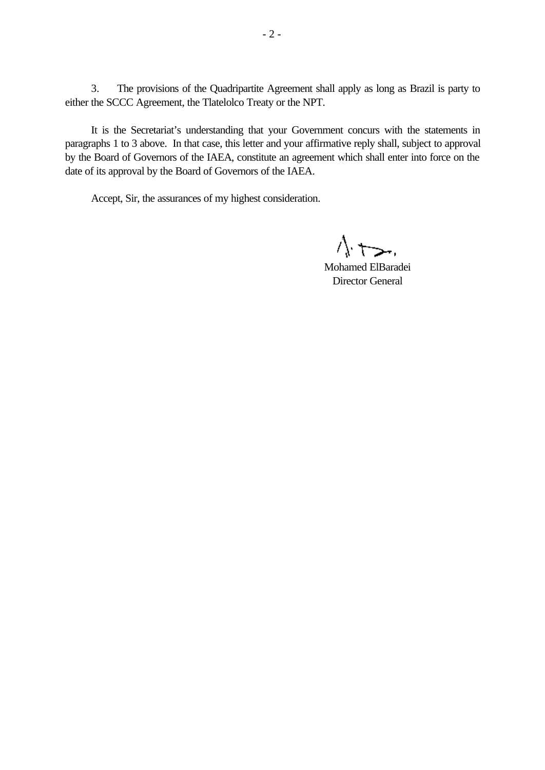3. The provisions of the Quadripartite Agreement shall apply as long as Brazil is party to either the SCCC Agreement, the Tlatelolco Treaty or the NPT.

It is the Secretariat's understanding that your Government concurs with the statements in paragraphs 1 to 3 above. In that case, this letter and your affirmative reply shall, subject to approval by the Board of Governors of the IAEA, constitute an agreement which shall enter into force on the date of its approval by the Board of Governors of the IAEA.

Accept, Sir, the assurances of my highest consideration.

 $\Lambda$ .  $\overline{a}$ 

Mohamed ElBaradei Director General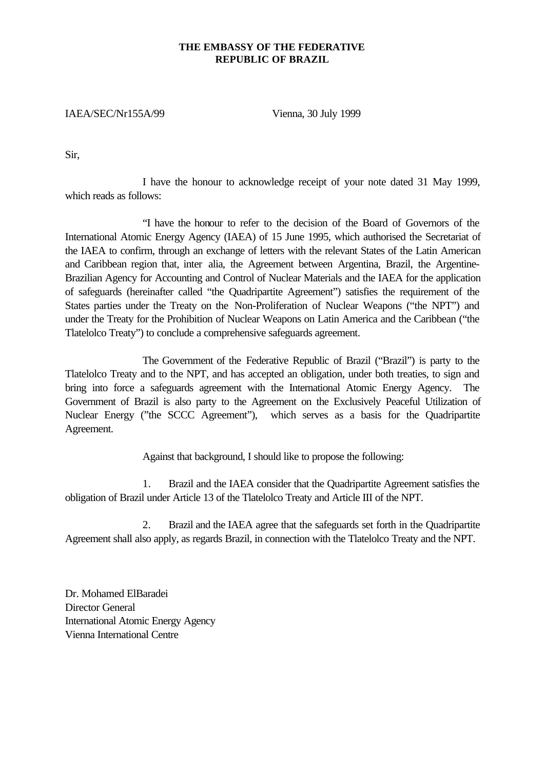### **THE EMBASSY OF THE FEDERATIVE REPUBLIC OF BRAZIL**

## IAEA/SEC/Nr155A/99 Vienna, 30 July 1999

Sir,

I have the honour to acknowledge receipt of your note dated 31 May 1999, which reads as follows:

"I have the honour to refer to the decision of the Board of Governors of the International Atomic Energy Agency (IAEA) of 15 June 1995, which authorised the Secretariat of the IAEA to confirm, through an exchange of letters with the relevant States of the Latin American and Caribbean region that, inter alia, the Agreement between Argentina, Brazil, the Argentine-Brazilian Agency for Accounting and Control of Nuclear Materials and the IAEA for the application of safeguards (hereinafter called "the Quadripartite Agreement") satisfies the requirement of the States parties under the Treaty on the Non-Proliferation of Nuclear Weapons ("the NPT") and under the Treaty for the Prohibition of Nuclear Weapons on Latin America and the Caribbean ("the Tlatelolco Treaty") to conclude a comprehensive safeguards agreement.

The Government of the Federative Republic of Brazil ("Brazil") is party to the Tlatelolco Treaty and to the NPT, and has accepted an obligation, under both treaties, to sign and bring into force a safeguards agreement with the International Atomic Energy Agency. The Government of Brazil is also party to the Agreement on the Exclusively Peaceful Utilization of Nuclear Energy ("the SCCC Agreement"), which serves as a basis for the Quadripartite Agreement.

Against that background, I should like to propose the following:

1. Brazil and the IAEA consider that the Quadripartite Agreement satisfies the obligation of Brazil under Article 13 of the Tlatelolco Treaty and Article III of the NPT.

2. Brazil and the IAEA agree that the safeguards set forth in the Quadripartite Agreement shall also apply, as regards Brazil, in connection with the Tlatelolco Treaty and the NPT.

Dr. Mohamed ElBaradei Director General International Atomic Energy Agency Vienna International Centre